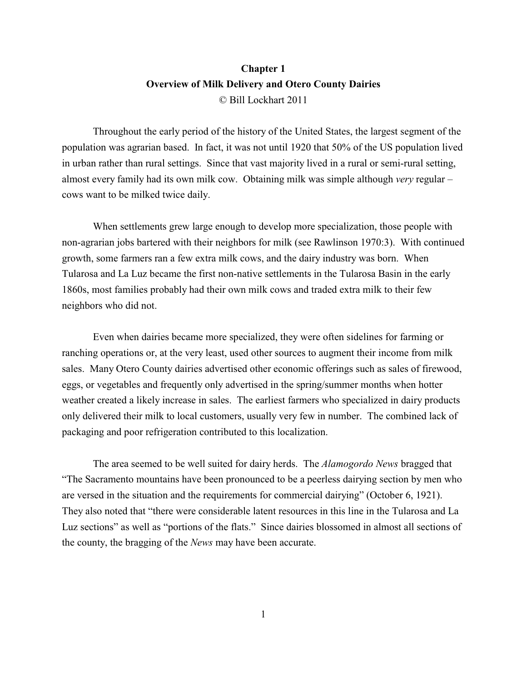# **Chapter 1 Overview of Milk Delivery and Otero County Dairies** © Bill Lockhart 2011

Throughout the early period of the history of the United States, the largest segment of the population was agrarian based. In fact, it was not until 1920 that 50% of the US population lived in urban rather than rural settings. Since that vast majority lived in a rural or semi-rural setting, almost every family had its own milk cow. Obtaining milk was simple although *very* regular – cows want to be milked twice daily.

When settlements grew large enough to develop more specialization, those people with non-agrarian jobs bartered with their neighbors for milk (see Rawlinson 1970:3). With continued growth, some farmers ran a few extra milk cows, and the dairy industry was born. When Tularosa and La Luz became the first non-native settlements in the Tularosa Basin in the early 1860s, most families probably had their own milk cows and traded extra milk to their few neighbors who did not.

Even when dairies became more specialized, they were often sidelines for farming or ranching operations or, at the very least, used other sources to augment their income from milk sales. Many Otero County dairies advertised other economic offerings such as sales of firewood, eggs, or vegetables and frequently only advertised in the spring/summer months when hotter weather created a likely increase in sales. The earliest farmers who specialized in dairy products only delivered their milk to local customers, usually very few in number. The combined lack of packaging and poor refrigeration contributed to this localization.

The area seemed to be well suited for dairy herds. The *Alamogordo News* bragged that "The Sacramento mountains have been pronounced to be a peerless dairying section by men who are versed in the situation and the requirements for commercial dairying" (October 6, 1921). They also noted that "there were considerable latent resources in this line in the Tularosa and La Luz sections" as well as "portions of the flats." Since dairies blossomed in almost all sections of the county, the bragging of the *News* may have been accurate.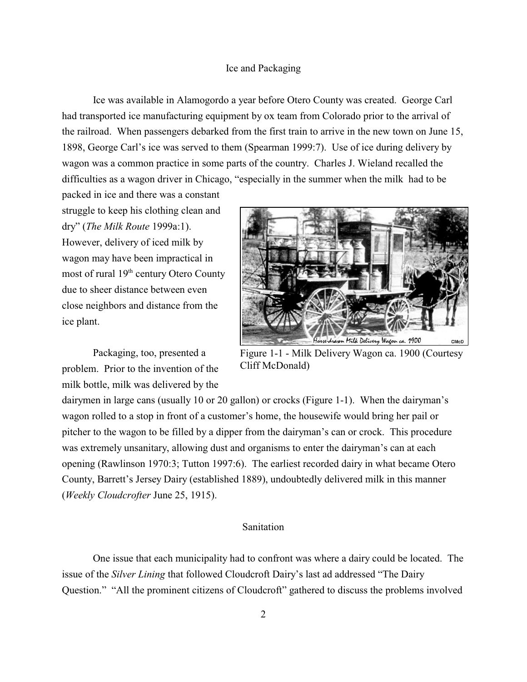#### Ice and Packaging

Ice was available in Alamogordo a year before Otero County was created. George Carl had transported ice manufacturing equipment by ox team from Colorado prior to the arrival of the railroad. When passengers debarked from the first train to arrive in the new town on June 15, 1898, George Carl's ice was served to them (Spearman 1999:7). Use of ice during delivery by wagon was a common practice in some parts of the country. Charles J. Wieland recalled the difficulties as a wagon driver in Chicago, "especially in the summer when the milk had to be

packed in ice and there was a constant struggle to keep his clothing clean and dry" (*The Milk Route* 1999a:1). However, delivery of iced milk by wagon may have been impractical in most of rural  $19<sup>th</sup>$  century Otero County due to sheer distance between even close neighbors and distance from the ice plant.

Packaging, too, presented a problem. Prior to the invention of the milk bottle, milk was delivered by the



Figure 1-1 - Milk Delivery Wagon ca. 1900 (Courtesy Cliff McDonald)

dairymen in large cans (usually 10 or 20 gallon) or crocks (Figure 1-1). When the dairyman's wagon rolled to a stop in front of a customer's home, the housewife would bring her pail or pitcher to the wagon to be filled by a dipper from the dairyman's can or crock. This procedure was extremely unsanitary, allowing dust and organisms to enter the dairyman's can at each opening (Rawlinson 1970:3; Tutton 1997:6). The earliest recorded dairy in what became Otero County, Barrett's Jersey Dairy (established 1889), undoubtedly delivered milk in this manner (*Weekly Cloudcrofter* June 25, 1915).

## Sanitation

One issue that each municipality had to confront was where a dairy could be located. The issue of the *Silver Lining* that followed Cloudcroft Dairy's last ad addressed "The Dairy Question." "All the prominent citizens of Cloudcroft" gathered to discuss the problems involved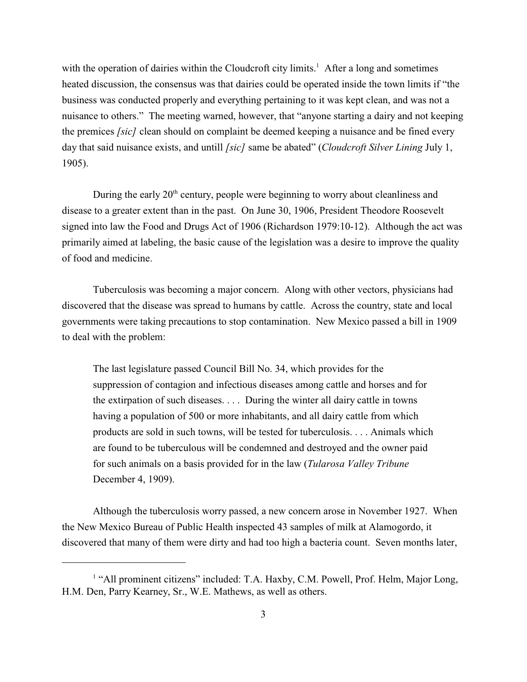with the operation of dairies within the Cloudcroft city limits.<sup>1</sup> After a long and sometimes heated discussion, the consensus was that dairies could be operated inside the town limits if "the business was conducted properly and everything pertaining to it was kept clean, and was not a nuisance to others." The meeting warned, however, that "anyone starting a dairy and not keeping the premices *[sic]* clean should on complaint be deemed keeping a nuisance and be fined every day that said nuisance exists, and untill *[sic]* same be abated" (*Cloudcroft Silver Lining* July 1, 1905).

During the early  $20<sup>th</sup>$  century, people were beginning to worry about cleanliness and disease to a greater extent than in the past. On June 30, 1906, President Theodore Roosevelt signed into law the Food and Drugs Act of 1906 (Richardson 1979:10-12). Although the act was primarily aimed at labeling, the basic cause of the legislation was a desire to improve the quality of food and medicine.

Tuberculosis was becoming a major concern. Along with other vectors, physicians had discovered that the disease was spread to humans by cattle. Across the country, state and local governments were taking precautions to stop contamination. New Mexico passed a bill in 1909 to deal with the problem:

The last legislature passed Council Bill No. 34, which provides for the suppression of contagion and infectious diseases among cattle and horses and for the extirpation of such diseases. . . . During the winter all dairy cattle in towns having a population of 500 or more inhabitants, and all dairy cattle from which products are sold in such towns, will be tested for tuberculosis. . . . Animals which are found to be tuberculous will be condemned and destroyed and the owner paid for such animals on a basis provided for in the law (*Tularosa Valley Tribune* December 4, 1909).

Although the tuberculosis worry passed, a new concern arose in November 1927. When the New Mexico Bureau of Public Health inspected 43 samples of milk at Alamogordo, it discovered that many of them were dirty and had too high a bacteria count. Seven months later,

<sup>&</sup>lt;sup>1</sup> "All prominent citizens" included: T.A. Haxby, C.M. Powell, Prof. Helm, Major Long, H.M. Den, Parry Kearney, Sr., W.E. Mathews, as well as others.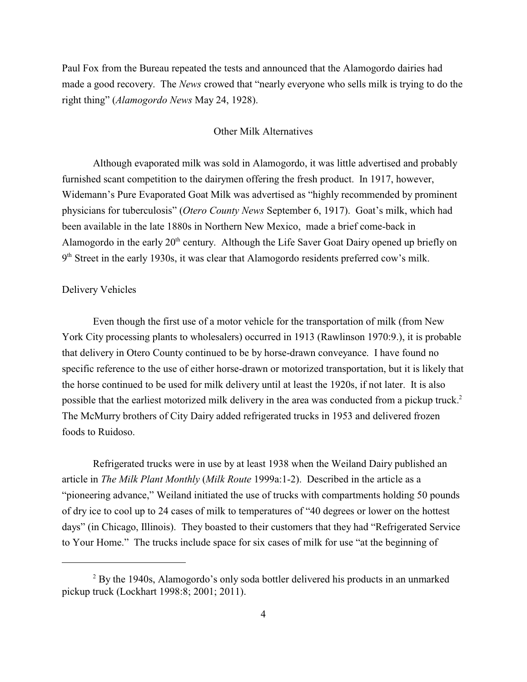Paul Fox from the Bureau repeated the tests and announced that the Alamogordo dairies had made a good recovery. The *News* crowed that "nearly everyone who sells milk is trying to do the right thing" (*Alamogordo News* May 24, 1928).

#### Other Milk Alternatives

Although evaporated milk was sold in Alamogordo, it was little advertised and probably furnished scant competition to the dairymen offering the fresh product. In 1917, however, Widemann's Pure Evaporated Goat Milk was advertised as "highly recommended by prominent physicians for tuberculosis" (*Otero County News* September 6, 1917). Goat's milk, which had been available in the late 1880s in Northern New Mexico, made a brief come-back in Alamogordo in the early  $20<sup>th</sup>$  century. Although the Life Saver Goat Dairy opened up briefly on  $9<sup>th</sup> Street in the early 1930s, it was clear that Alamogordo residents preferred cow's milk.$ 

#### Delivery Vehicles

Even though the first use of a motor vehicle for the transportation of milk (from New York City processing plants to wholesalers) occurred in 1913 (Rawlinson 1970:9.), it is probable that delivery in Otero County continued to be by horse-drawn conveyance. I have found no specific reference to the use of either horse-drawn or motorized transportation, but it is likely that the horse continued to be used for milk delivery until at least the 1920s, if not later. It is also possible that the earliest motorized milk delivery in the area was conducted from a pickup truck.<sup>2</sup> The McMurry brothers of City Dairy added refrigerated trucks in 1953 and delivered frozen foods to Ruidoso.

Refrigerated trucks were in use by at least 1938 when the Weiland Dairy published an article in *The Milk Plant Monthly* (*Milk Route* 1999a:1-2). Described in the article as a "pioneering advance," Weiland initiated the use of trucks with compartments holding 50 pounds of dry ice to cool up to 24 cases of milk to temperatures of "40 degrees or lower on the hottest days" (in Chicago, Illinois). They boasted to their customers that they had "Refrigerated Service to Your Home." The trucks include space for six cases of milk for use "at the beginning of

 $2$  By the 1940s, Alamogordo's only soda bottler delivered his products in an unmarked pickup truck (Lockhart 1998:8; 2001; 2011).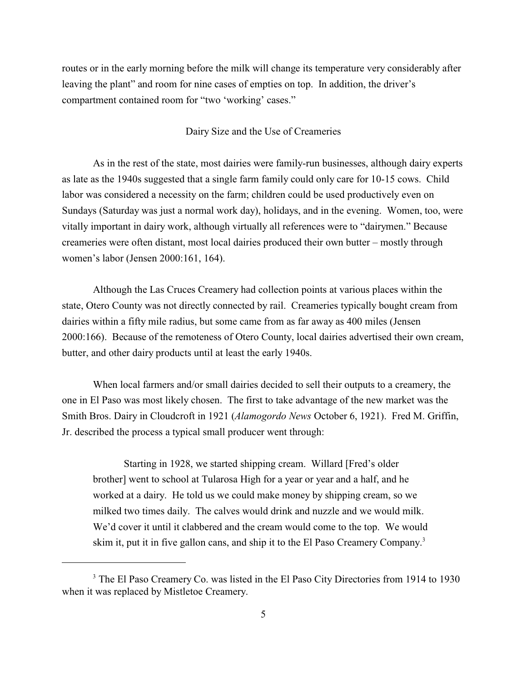routes or in the early morning before the milk will change its temperature very considerably after leaving the plant" and room for nine cases of empties on top. In addition, the driver's compartment contained room for "two 'working' cases."

#### Dairy Size and the Use of Creameries

As in the rest of the state, most dairies were family-run businesses, although dairy experts as late as the 1940s suggested that a single farm family could only care for 10-15 cows. Child labor was considered a necessity on the farm; children could be used productively even on Sundays (Saturday was just a normal work day), holidays, and in the evening. Women, too, were vitally important in dairy work, although virtually all references were to "dairymen." Because creameries were often distant, most local dairies produced their own butter – mostly through women's labor (Jensen 2000:161, 164).

Although the Las Cruces Creamery had collection points at various places within the state, Otero County was not directly connected by rail. Creameries typically bought cream from dairies within a fifty mile radius, but some came from as far away as 400 miles (Jensen 2000:166). Because of the remoteness of Otero County, local dairies advertised their own cream, butter, and other dairy products until at least the early 1940s.

When local farmers and/or small dairies decided to sell their outputs to a creamery, the one in El Paso was most likely chosen. The first to take advantage of the new market was the Smith Bros. Dairy in Cloudcroft in 1921 (*Alamogordo News* October 6, 1921). Fred M. Griffin, Jr. described the process a typical small producer went through:

Starting in 1928, we started shipping cream. Willard [Fred's older brother] went to school at Tularosa High for a year or year and a half, and he worked at a dairy. He told us we could make money by shipping cream, so we milked two times daily. The calves would drink and nuzzle and we would milk. We'd cover it until it clabbered and the cream would come to the top. We would skim it, put it in five gallon cans, and ship it to the El Paso Creamery Company. 3

<sup>&</sup>lt;sup>3</sup> The El Paso Creamery Co. was listed in the El Paso City Directories from 1914 to 1930 when it was replaced by Mistletoe Creamery.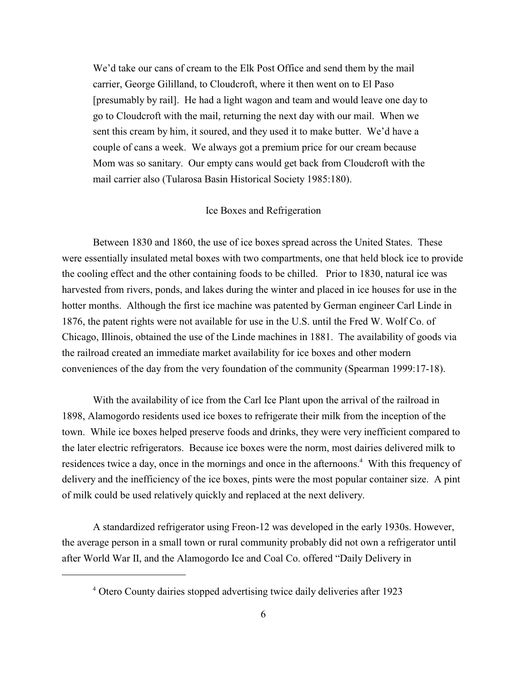We'd take our cans of cream to the Elk Post Office and send them by the mail carrier, George Gililland, to Cloudcroft, where it then went on to El Paso [presumably by rail]. He had a light wagon and team and would leave one day to go to Cloudcroft with the mail, returning the next day with our mail. When we sent this cream by him, it soured, and they used it to make butter. We'd have a couple of cans a week. We always got a premium price for our cream because Mom was so sanitary. Our empty cans would get back from Cloudcroft with the mail carrier also (Tularosa Basin Historical Society 1985:180).

#### Ice Boxes and Refrigeration

Between 1830 and 1860, the use of ice boxes spread across the United States. These were essentially insulated metal boxes with two compartments, one that held block ice to provide the cooling effect and the other containing foods to be chilled. Prior to 1830, natural ice was harvested from rivers, ponds, and lakes during the winter and placed in ice houses for use in the hotter months. Although the first ice machine was patented by German engineer Carl Linde in 1876, the patent rights were not available for use in the U.S. until the Fred W. Wolf Co. of Chicago, Illinois, obtained the use of the Linde machines in 1881. The availability of goods via the railroad created an immediate market availability for ice boxes and other modern conveniences of the day from the very foundation of the community (Spearman 1999:17-18).

With the availability of ice from the Carl Ice Plant upon the arrival of the railroad in 1898, Alamogordo residents used ice boxes to refrigerate their milk from the inception of the town. While ice boxes helped preserve foods and drinks, they were very inefficient compared to the later electric refrigerators. Because ice boxes were the norm, most dairies delivered milk to residences twice a day, once in the mornings and once in the afternoons.<sup>4</sup> With this frequency of delivery and the inefficiency of the ice boxes, pints were the most popular container size. A pint of milk could be used relatively quickly and replaced at the next delivery.

A standardized refrigerator using Freon-12 was developed in the early 1930s. However, the average person in a small town or rural community probably did not own a refrigerator until after World War II, and the Alamogordo Ice and Coal Co. offered "Daily Delivery in

Otero County dairies stopped advertising twice daily deliveries after 1923 <sup>4</sup>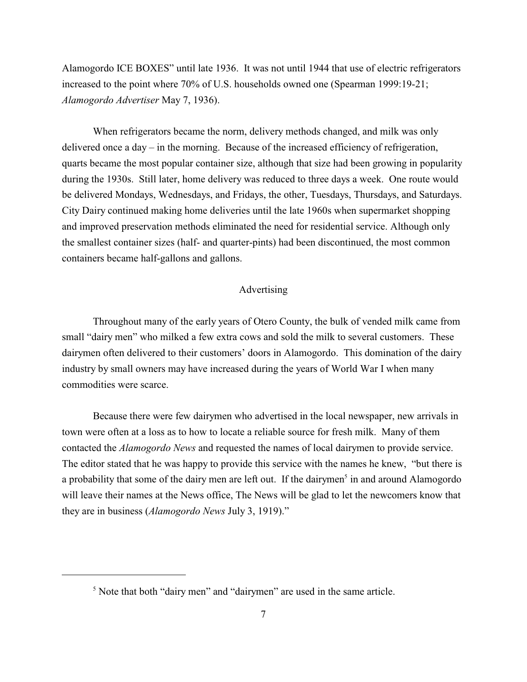Alamogordo ICE BOXES" until late 1936. It was not until 1944 that use of electric refrigerators increased to the point where 70% of U.S. households owned one (Spearman 1999:19-21; *Alamogordo Advertiser* May 7, 1936).

When refrigerators became the norm, delivery methods changed, and milk was only delivered once a day – in the morning. Because of the increased efficiency of refrigeration, quarts became the most popular container size, although that size had been growing in popularity during the 1930s. Still later, home delivery was reduced to three days a week. One route would be delivered Mondays, Wednesdays, and Fridays, the other, Tuesdays, Thursdays, and Saturdays. City Dairy continued making home deliveries until the late 1960s when supermarket shopping and improved preservation methods eliminated the need for residential service. Although only the smallest container sizes (half- and quarter-pints) had been discontinued, the most common containers became half-gallons and gallons.

## Advertising

Throughout many of the early years of Otero County, the bulk of vended milk came from small "dairy men" who milked a few extra cows and sold the milk to several customers. These dairymen often delivered to their customers' doors in Alamogordo. This domination of the dairy industry by small owners may have increased during the years of World War I when many commodities were scarce.

Because there were few dairymen who advertised in the local newspaper, new arrivals in town were often at a loss as to how to locate a reliable source for fresh milk. Many of them contacted the *Alamogordo News* and requested the names of local dairymen to provide service. The editor stated that he was happy to provide this service with the names he knew, "but there is a probability that some of the dairy men are left out. If the dairymen<sup>5</sup> in and around Alamogordo will leave their names at the News office, The News will be glad to let the newcomers know that they are in business (*Alamogordo News* July 3, 1919)."

 $<sup>5</sup>$  Note that both "dairy men" and "dairymen" are used in the same article.</sup>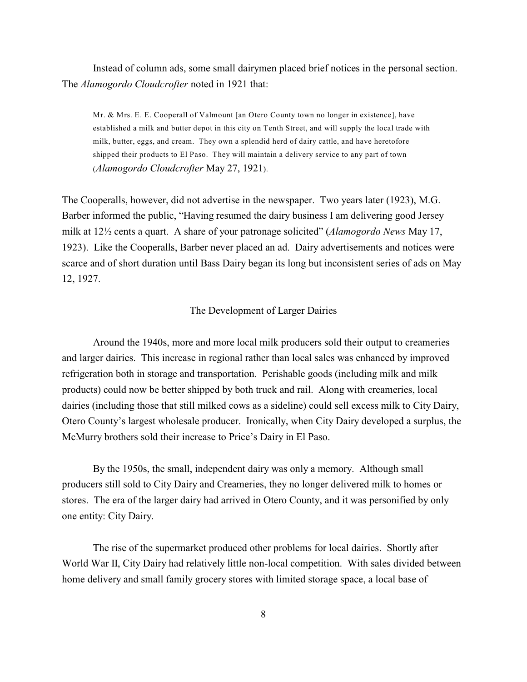Instead of column ads, some small dairymen placed brief notices in the personal section. The *Alamogordo Cloudcrofter* noted in 1921 that:

Mr. & Mrs. E. E. Cooperall of Valmount [an Otero County town no longer in existence], have established a milk and butter depot in this city on Tenth Street, and will supply the local trade with milk, butter, eggs, and cream. They own a splendid herd of dairy cattle, and have heretofore shipped their products to El Paso. They will maintain a delivery service to any part of town (*Alamogordo Cloudcrofter* May 27, 1921).

The Cooperalls, however, did not advertise in the newspaper. Two years later (1923), M.G. Barber informed the public, "Having resumed the dairy business I am delivering good Jersey milk at 12½ cents a quart. A share of your patronage solicited" (*Alamogordo News* May 17, 1923). Like the Cooperalls, Barber never placed an ad. Dairy advertisements and notices were scarce and of short duration until Bass Dairy began its long but inconsistent series of ads on May 12, 1927.

#### The Development of Larger Dairies

Around the 1940s, more and more local milk producers sold their output to creameries and larger dairies. This increase in regional rather than local sales was enhanced by improved refrigeration both in storage and transportation. Perishable goods (including milk and milk products) could now be better shipped by both truck and rail. Along with creameries, local dairies (including those that still milked cows as a sideline) could sell excess milk to City Dairy, Otero County's largest wholesale producer. Ironically, when City Dairy developed a surplus, the McMurry brothers sold their increase to Price's Dairy in El Paso.

By the 1950s, the small, independent dairy was only a memory. Although small producers still sold to City Dairy and Creameries, they no longer delivered milk to homes or stores. The era of the larger dairy had arrived in Otero County, and it was personified by only one entity: City Dairy.

The rise of the supermarket produced other problems for local dairies. Shortly after World War II, City Dairy had relatively little non-local competition. With sales divided between home delivery and small family grocery stores with limited storage space, a local base of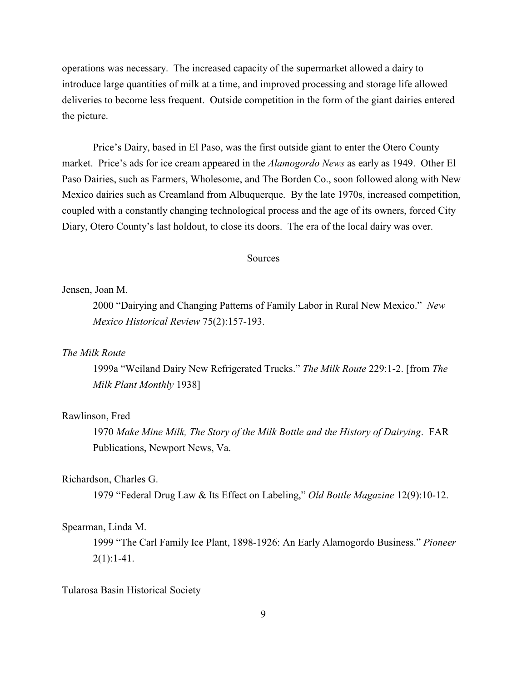operations was necessary. The increased capacity of the supermarket allowed a dairy to introduce large quantities of milk at a time, and improved processing and storage life allowed deliveries to become less frequent. Outside competition in the form of the giant dairies entered the picture.

Price's Dairy, based in El Paso, was the first outside giant to enter the Otero County market. Price's ads for ice cream appeared in the *Alamogordo News* as early as 1949. Other El Paso Dairies, such as Farmers, Wholesome, and The Borden Co., soon followed along with New Mexico dairies such as Creamland from Albuquerque. By the late 1970s, increased competition, coupled with a constantly changing technological process and the age of its owners, forced City Diary, Otero County's last holdout, to close its doors. The era of the local dairy was over.

### **Sources**

#### Jensen, Joan M.

2000 "Dairying and Changing Patterns of Family Labor in Rural New Mexico." *New Mexico Historical Review* 75(2):157-193.

### *The Milk Route*

1999a "Weiland Dairy New Refrigerated Trucks." *The Milk Route* 229:1-2. [from *The Milk Plant Monthly* 1938]

### Rawlinson, Fred

1970 *Make Mine Milk, The Story of the Milk Bottle and the History of Dairying*. FAR Publications, Newport News, Va.

#### Richardson, Charles G.

1979 "Federal Drug Law & Its Effect on Labeling," *Old Bottle Magazine* 12(9):10-12.

#### Spearman, Linda M.

1999 "The Carl Family Ice Plant, 1898-1926: An Early Alamogordo Business." *Pioneer*  $2(1):1-41.$ 

## Tularosa Basin Historical Society